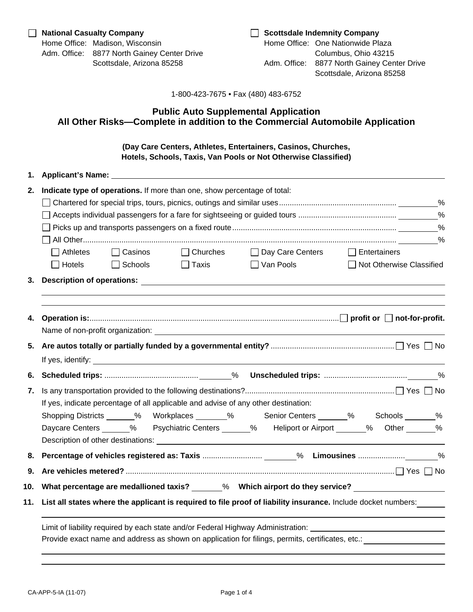## **Public Auto Supplemental Application All Other Risks—Complete in addition to the Commercial Automobile Application**

**(Day Care Centers, Athletes, Entertainers, Casinos, Churches, Hotels, Schools, Taxis, Van Pools or Not Otherwise Classified)** 

| 1.  | <b>Applicant's Name:</b>                                                                                       |  |  |  |  |  |  |  |  |
|-----|----------------------------------------------------------------------------------------------------------------|--|--|--|--|--|--|--|--|
| 2.  | Indicate type of operations. If more than one, show percentage of total:                                       |  |  |  |  |  |  |  |  |
|     |                                                                                                                |  |  |  |  |  |  |  |  |
|     |                                                                                                                |  |  |  |  |  |  |  |  |
|     |                                                                                                                |  |  |  |  |  |  |  |  |
|     |                                                                                                                |  |  |  |  |  |  |  |  |
|     | □ Churches □ Day Care Centers □ Entertainers<br>$\Box$ Athletes<br>$\Box$ Casinos                              |  |  |  |  |  |  |  |  |
|     | Hotels<br>$\Box$ Schools<br>$\Box$ Van Pools<br>□ Not Otherwise Classified<br>$\Box$ Taxis                     |  |  |  |  |  |  |  |  |
| 3.  |                                                                                                                |  |  |  |  |  |  |  |  |
|     |                                                                                                                |  |  |  |  |  |  |  |  |
|     |                                                                                                                |  |  |  |  |  |  |  |  |
| 4.  |                                                                                                                |  |  |  |  |  |  |  |  |
|     |                                                                                                                |  |  |  |  |  |  |  |  |
|     |                                                                                                                |  |  |  |  |  |  |  |  |
|     |                                                                                                                |  |  |  |  |  |  |  |  |
| 6.  |                                                                                                                |  |  |  |  |  |  |  |  |
| 7.  |                                                                                                                |  |  |  |  |  |  |  |  |
|     | If yes, indicate percentage of all applicable and advise of any other destination:                             |  |  |  |  |  |  |  |  |
|     | Shopping Districts ______% Workplaces _______% Senior Centers ______% Schools ______%                          |  |  |  |  |  |  |  |  |
|     | Daycare Centers ______% Psychiatric Centers _______% Heliport or Airport _______% Other _______%               |  |  |  |  |  |  |  |  |
|     |                                                                                                                |  |  |  |  |  |  |  |  |
|     |                                                                                                                |  |  |  |  |  |  |  |  |
| 9.  |                                                                                                                |  |  |  |  |  |  |  |  |
|     |                                                                                                                |  |  |  |  |  |  |  |  |
| 10. | What percentage are medallioned taxis? ______% Which airport do they service?                                  |  |  |  |  |  |  |  |  |
| 11. | List all states where the applicant is required to file proof of liability insurance. Include docket numbers:  |  |  |  |  |  |  |  |  |
|     |                                                                                                                |  |  |  |  |  |  |  |  |
|     | Limit of liability required by each state and/or Federal Highway Administration: _____________________________ |  |  |  |  |  |  |  |  |
|     | Provide exact name and address as shown on application for filings, permits, certificates, etc.:               |  |  |  |  |  |  |  |  |
|     |                                                                                                                |  |  |  |  |  |  |  |  |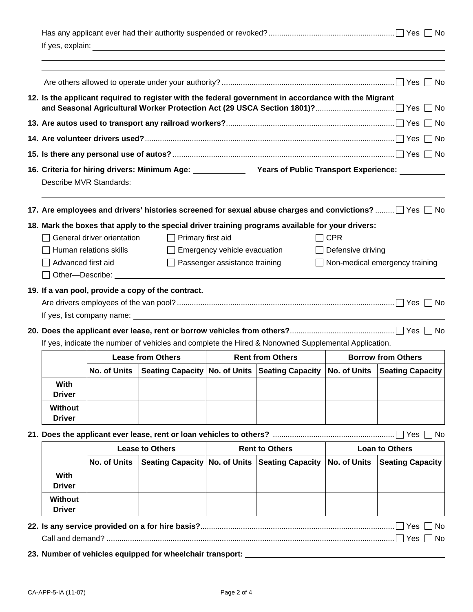|                                                                                                     |                                                                                                                                                                                                                                                                                                                                                                               |                        |                                                                                                                                                                                                                                      |                       | ,我们也不会有什么。""我们的人,我们也不会有什么?""我们的人,我们也不会有什么?""我们的人,我们的人,我们的人,我们的人,我们的人,我们的人,我们的人,我                      |                                                       |                         |  |
|-----------------------------------------------------------------------------------------------------|-------------------------------------------------------------------------------------------------------------------------------------------------------------------------------------------------------------------------------------------------------------------------------------------------------------------------------------------------------------------------------|------------------------|--------------------------------------------------------------------------------------------------------------------------------------------------------------------------------------------------------------------------------------|-----------------------|-------------------------------------------------------------------------------------------------------|-------------------------------------------------------|-------------------------|--|
|                                                                                                     |                                                                                                                                                                                                                                                                                                                                                                               |                        |                                                                                                                                                                                                                                      |                       |                                                                                                       |                                                       |                         |  |
|                                                                                                     | 12. Is the applicant required to register with the federal government in accordance with the Migrant                                                                                                                                                                                                                                                                          |                        |                                                                                                                                                                                                                                      |                       |                                                                                                       |                                                       |                         |  |
|                                                                                                     |                                                                                                                                                                                                                                                                                                                                                                               |                        |                                                                                                                                                                                                                                      |                       |                                                                                                       |                                                       |                         |  |
|                                                                                                     |                                                                                                                                                                                                                                                                                                                                                                               |                        |                                                                                                                                                                                                                                      |                       |                                                                                                       |                                                       |                         |  |
|                                                                                                     |                                                                                                                                                                                                                                                                                                                                                                               |                        |                                                                                                                                                                                                                                      |                       |                                                                                                       |                                                       |                         |  |
|                                                                                                     | 16. Criteria for hiring drivers: Minimum Age: Vears of Public Transport Experience:                                                                                                                                                                                                                                                                                           |                        |                                                                                                                                                                                                                                      |                       |                                                                                                       |                                                       |                         |  |
|                                                                                                     |                                                                                                                                                                                                                                                                                                                                                                               |                        |                                                                                                                                                                                                                                      |                       | 17. Are employees and drivers' histories screened for sexual abuse charges and convictions?  TYes TNo |                                                       |                         |  |
|                                                                                                     | 18. Mark the boxes that apply to the special driver training programs available for your drivers:<br>General driver orientation<br>$\Box$ Primary first aid<br>$\Box$ CPR<br>$\Box$ Emergency vehicle evacuation<br>Human relations skills<br>$\Box$ Defensive driving<br>$\Box$ Passenger assistance training<br>Advanced first aid<br>$\Box$ Non-medical emergency training |                        |                                                                                                                                                                                                                                      |                       |                                                                                                       |                                                       |                         |  |
|                                                                                                     |                                                                                                                                                                                                                                                                                                                                                                               |                        | Other-Describe: <u>Contract Contract Contract Contract Contract Contract Contract Contract Contract Contract Contract Contract Contract Contract Contract Contract Contract Contract Contract Contract Contract Contract Contrac</u> |                       |                                                                                                       |                                                       |                         |  |
|                                                                                                     |                                                                                                                                                                                                                                                                                                                                                                               |                        | 19. If a van pool, provide a copy of the contract.                                                                                                                                                                                   |                       |                                                                                                       |                                                       |                         |  |
|                                                                                                     |                                                                                                                                                                                                                                                                                                                                                                               |                        |                                                                                                                                                                                                                                      |                       |                                                                                                       |                                                       |                         |  |
|                                                                                                     |                                                                                                                                                                                                                                                                                                                                                                               |                        |                                                                                                                                                                                                                                      |                       |                                                                                                       |                                                       |                         |  |
| If yes, indicate the number of vehicles and complete the Hired & Nonowned Supplemental Application. |                                                                                                                                                                                                                                                                                                                                                                               |                        |                                                                                                                                                                                                                                      |                       |                                                                                                       |                                                       |                         |  |
|                                                                                                     |                                                                                                                                                                                                                                                                                                                                                                               |                        | <b>Lease from Others</b>                                                                                                                                                                                                             | <b>Communication</b>  | <b>Rent from Others</b>                                                                               | <b>Contract Contract</b><br><b>Borrow from Others</b> |                         |  |
|                                                                                                     |                                                                                                                                                                                                                                                                                                                                                                               |                        |                                                                                                                                                                                                                                      |                       | No. of Units Seating Capacity No. of Units Seating Capacity No. of Units Seating Capacity             |                                                       |                         |  |
|                                                                                                     | With<br><b>Driver</b>                                                                                                                                                                                                                                                                                                                                                         |                        |                                                                                                                                                                                                                                      |                       |                                                                                                       |                                                       |                         |  |
|                                                                                                     | <b>Without</b><br><b>Driver</b>                                                                                                                                                                                                                                                                                                                                               |                        |                                                                                                                                                                                                                                      |                       |                                                                                                       |                                                       |                         |  |
|                                                                                                     |                                                                                                                                                                                                                                                                                                                                                                               |                        |                                                                                                                                                                                                                                      |                       |                                                                                                       |                                                       |                         |  |
|                                                                                                     |                                                                                                                                                                                                                                                                                                                                                                               | <b>Lease to Others</b> |                                                                                                                                                                                                                                      | <b>Rent to Others</b> |                                                                                                       | <b>Loan to Others</b>                                 |                         |  |
|                                                                                                     |                                                                                                                                                                                                                                                                                                                                                                               | No. of Units           |                                                                                                                                                                                                                                      |                       | Seating Capacity   No. of Units   Seating Capacity                                                    | No. of Units                                          | <b>Seating Capacity</b> |  |
|                                                                                                     | With<br><b>Driver</b>                                                                                                                                                                                                                                                                                                                                                         |                        |                                                                                                                                                                                                                                      |                       |                                                                                                       |                                                       |                         |  |
|                                                                                                     | <b>Without</b><br><b>Driver</b>                                                                                                                                                                                                                                                                                                                                               |                        |                                                                                                                                                                                                                                      |                       |                                                                                                       |                                                       |                         |  |
|                                                                                                     | Yes<br>No.<br>No<br>23. Number of vehicles equipped for wheelchair transport: ___                                                                                                                                                                                                                                                                                             |                        |                                                                                                                                                                                                                                      |                       |                                                                                                       |                                                       |                         |  |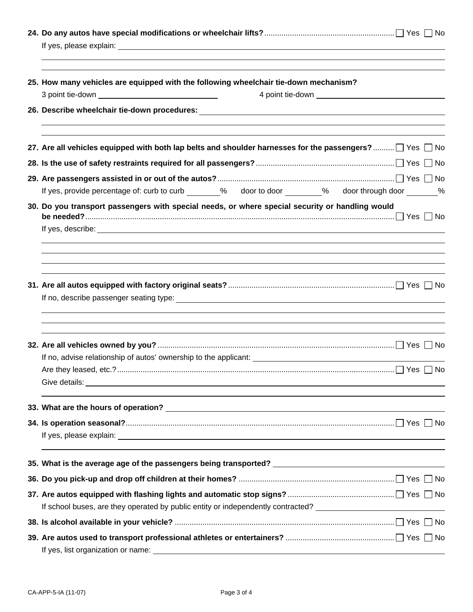| 25. How many vehicles are equipped with the following wheelchair tie-down mechanism?                                                                                                                                                                                                                                                    |
|-----------------------------------------------------------------------------------------------------------------------------------------------------------------------------------------------------------------------------------------------------------------------------------------------------------------------------------------|
| 26. Describe wheelchair tie-down procedures: ___________________________________                                                                                                                                                                                                                                                        |
| 27. Are all vehicles equipped with both lap belts and shoulder harnesses for the passengers? □ Yes □ No                                                                                                                                                                                                                                 |
|                                                                                                                                                                                                                                                                                                                                         |
|                                                                                                                                                                                                                                                                                                                                         |
| If yes, provide percentage of: curb to curb _______% door to door ________% door through door _______%                                                                                                                                                                                                                                  |
| 30. Do you transport passengers with special needs, or where special security or handling would<br>If yes, describe: <u>experimental and the set of the set of the set of the set of the set of the set of the set of the set of the set of the set of the set of the set of the set of the set of the set of the set of the set of</u> |
|                                                                                                                                                                                                                                                                                                                                         |
|                                                                                                                                                                                                                                                                                                                                         |
|                                                                                                                                                                                                                                                                                                                                         |
|                                                                                                                                                                                                                                                                                                                                         |
|                                                                                                                                                                                                                                                                                                                                         |
|                                                                                                                                                                                                                                                                                                                                         |
|                                                                                                                                                                                                                                                                                                                                         |
| 35. What is the average age of the passengers being transported? ___________________________________                                                                                                                                                                                                                                    |
|                                                                                                                                                                                                                                                                                                                                         |
|                                                                                                                                                                                                                                                                                                                                         |
| If school buses, are they operated by public entity or independently contracted? ____________________________                                                                                                                                                                                                                           |
|                                                                                                                                                                                                                                                                                                                                         |
|                                                                                                                                                                                                                                                                                                                                         |